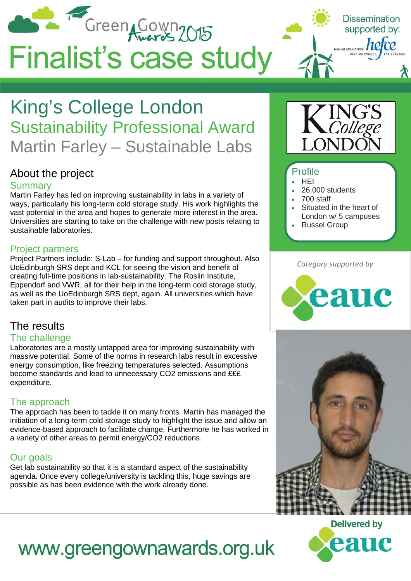

## King's College London Sustainability Professional Award Martin Farley – Sustainable Labs

## About the project

### **Summarv**

Martin Farley has led on improving sustainability in labs in a variety of ways, particularly his long-term cold storage study. His work highlights the vast potential in the area and hopes to generate more interest in the area. Universities are starting to take on the challenge with new posts relating to sustainable laboratories.

### Project partners

Project Partners include: S-Lab – for funding and support throughout. Also UoEdinburgh SRS dept and KCL for seeing the vision and benefit of creating full-time positions in lab-sustainability. The Roslin Institute, Eppendorf and VWR, all for their help in the long-term cold storage study, as well as the UoEdinburgh SRS dept, again. All universities which have taken part in audits to improve their labs.

## The results

### The challenge

Laboratories are a mostly untapped area for improving sustainability with massive potential. Some of the norms in research labs result in excessive energy consumption, like freezing temperatures selected. Assumptions become standards and lead to unnecessary CO2 emissions and £££ expenditure.

## The approach

The approach has been to tackle it on many fronts. Martin has managed the initiation of a long-term cold storage study to highlight the issue and allow an evidence-based approach to facilitate change. Furthermore he has worked in a variety of other areas to permit energy/CO2 reductions.

## Our goals

Get lab sustainability so that it is a standard aspect of the sustainability agenda. Once every college/university is tackling this, huge savings are possible as has been evidence with the work already done.



### Profile

- HEI
	- 26,000 students
- 700 staff
- Situated in the heart of London w/ 5 campuses
- Russel Group

### *Category supported by*







# www.greengownawards.org.uk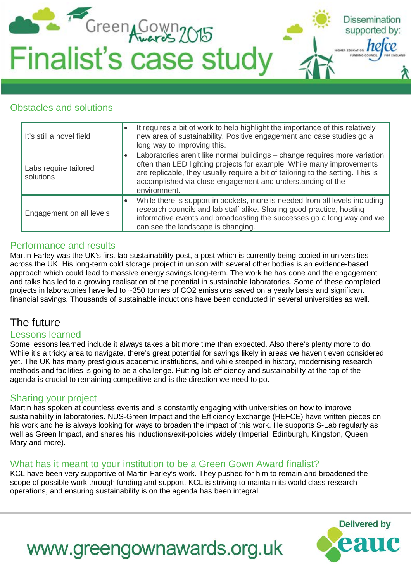

## Obstacles and solutions

| It's still a novel field           | $\bullet$ | It requires a bit of work to help highlight the importance of this relatively<br>new area of sustainability. Positive engagement and case studies go a<br>long way to improving this.                                                                                                                                |
|------------------------------------|-----------|----------------------------------------------------------------------------------------------------------------------------------------------------------------------------------------------------------------------------------------------------------------------------------------------------------------------|
| Labs require tailored<br>solutions |           | Laboratories aren't like normal buildings – change requires more variation<br>often than LED lighting projects for example. While many improvements<br>are replicable, they usually require a bit of tailoring to the setting. This is<br>accomplished via close engagement and understanding of the<br>environment. |
| Engagement on all levels           | $\bullet$ | While there is support in pockets, more is needed from all levels including<br>research councils and lab staff alike. Sharing good-practice, hosting<br>informative events and broadcasting the successes go a long way and we<br>can see the landscape is changing.                                                 |

## Performance and results

Martin Farley was the UK's first lab-sustainability post, a post which is currently being copied in universities across the UK. His long-term cold storage project in unison with several other bodies is an evidence-based approach which could lead to massive energy savings long-term. The work he has done and the engagement and talks has led to a growing realisation of the potential in sustainable laboratories. Some of these completed projects in laboratories have led to ~350 tonnes of CO2 emissions saved on a yearly basis and significant financial savings. Thousands of sustainable inductions have been conducted in several universities as well.

## The future

### Lessons learned

Some lessons learned include it always takes a bit more time than expected. Also there's plenty more to do. While it's a tricky area to navigate, there's great potential for savings likely in areas we haven't even considered yet. The UK has many prestigious academic institutions, and while steeped in history, modernising research methods and facilities is going to be a challenge. Putting lab efficiency and sustainability at the top of the agenda is crucial to remaining competitive and is the direction we need to go.

### Sharing your project

Martin has spoken at countless events and is constantly engaging with universities on how to improve sustainability in laboratories. NUS-Green Impact and the Efficiency Exchange (HEFCE) have written pieces on his work and he is always looking for ways to broaden the impact of this work. He supports S-Lab regularly as well as Green Impact, and shares his inductions/exit-policies widely (Imperial, Edinburgh, Kingston, Queen Mary and more).

## What has it meant to your institution to be a Green Gown Award finalist?

KCL have been very supportive of Martin Farley's work. They pushed for him to remain and broadened the scope of possible work through funding and support. KCL is striving to maintain its world class research operations, and ensuring sustainability is on the agenda has been integral.



# www.greengownawards.org.uk